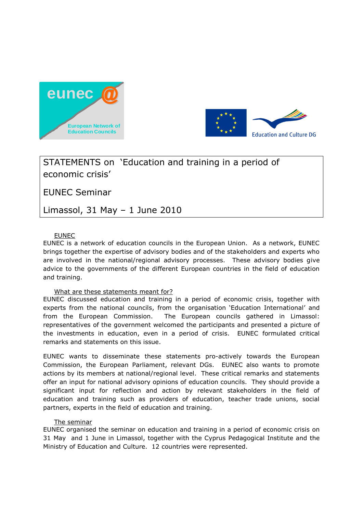



# STATEMENTS on 'Education and training in a period of economic crisis'

EUNEC Seminar

Limassol, 31 May – 1 June 2010

# EUNEC

EUNEC is a network of education councils in the European Union. As a network, EUNEC brings together the expertise of advisory bodies and of the stakeholders and experts who are involved in the national/regional advisory processes. These advisory bodies give advice to the governments of the different European countries in the field of education and training.

# What are these statements meant for?

EUNEC discussed education and training in a period of economic crisis, together with experts from the national councils, from the organisation 'Education International' and from the European Commission. The European councils gathered in Limassol: representatives of the government welcomed the participants and presented a picture of the investments in education, even in a period of crisis. EUNEC formulated critical remarks and statements on this issue.

EUNEC wants to disseminate these statements pro-actively towards the European Commission, the European Parliament, relevant DGs. EUNEC also wants to promote actions by its members at national/regional level. These critical remarks and statements offer an input for national advisory opinions of education councils. They should provide a significant input for reflection and action by relevant stakeholders in the field of education and training such as providers of education, teacher trade unions, social partners, experts in the field of education and training.

# The seminar

EUNEC organised the seminar on education and training in a period of economic crisis on 31 May and 1 June in Limassol, together with the Cyprus Pedagogical Institute and the Ministry of Education and Culture. 12 countries were represented.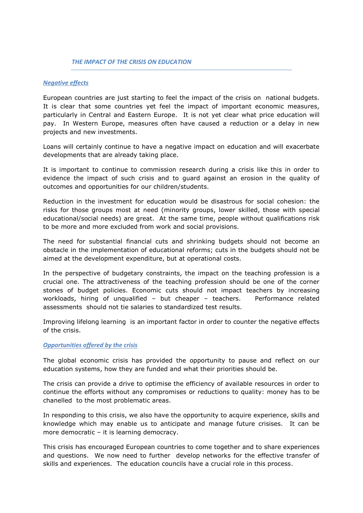#### *THE IMPACT OF THE CRISIS ON EDUCATION*

#### *Negative effects*

European countries are just starting to feel the impact of the crisis on national budgets. It is clear that some countries yet feel the impact of important economic measures, particularly in Central and Eastern Europe. It is not yet clear what price education will pay. In Western Europe, measures often have caused a reduction or a delay in new projects and new investments.

Loans will certainly continue to have a negative impact on education and will exacerbate developments that are already taking place.

It is important to continue to commission research during a crisis like this in order to evidence the impact of such crisis and to guard against an erosion in the quality of outcomes and opportunities for our children/students.

Reduction in the investment for education would be disastrous for social cohesion: the risks for those groups most at need (minority groups, lower skilled, those with special educational/social needs) are great. At the same time, people without qualifications risk to be more and more excluded from work and social provisions.

The need for substantial financial cuts and shrinking budgets should not become an obstacle in the implementation of educational reforms; cuts in the budgets should not be aimed at the development expenditure, but at operational costs.

In the perspective of budgetary constraints, the impact on the teaching profession is a crucial one. The attractiveness of the teaching profession should be one of the corner stones of budget policies. Economic cuts should not impact teachers by increasing workloads, hiring of unqualified – but cheaper – teachers. Performance related assessments should not tie salaries to standardized test results.

Improving lifelong learning is an important factor in order to counter the negative effects of the crisis.

#### *Opportunities offered by the crisis*

The global economic crisis has provided the opportunity to pause and reflect on our education systems, how they are funded and what their priorities should be.

The crisis can provide a drive to optimise the efficiency of available resources in order to continue the efforts without any compromises or reductions to quality: money has to be chanelled to the most problematic areas.

In responding to this crisis, we also have the opportunity to acquire experience, skills and knowledge which may enable us to anticipate and manage future crisises. It can be more democratic – it is learning democracy.

This crisis has encouraged European countries to come together and to share experiences and questions. We now need to further develop networks for the effective transfer of skills and experiences. The education councils have a crucial role in this process.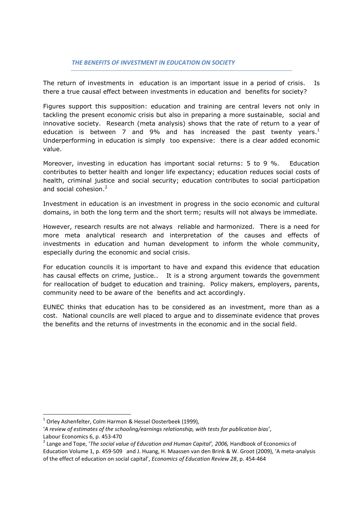The return of investments in education is an important issue in a period of crisis. Is there a true causal effect between investments in education and benefits for society?

Figures support this supposition: education and training are central levers not only in tackling the present economic crisis but also in preparing a more sustainable, social and innovative society. Research (meta analysis) shows that the rate of return to a year of education is between 7 and 9% and has increased the past twenty years.<sup>1</sup> Underperforming in education is simply too expensive: there is a clear added economic value.

Moreover, investing in education has important social returns: 5 to 9 %. Education contributes to better health and longer life expectancy; education reduces social costs of health, criminal justice and social security; education contributes to social participation and social cohesion.<sup>2</sup>

Investment in education is an investment in progress in the socio economic and cultural domains, in both the long term and the short term; results will not always be immediate.

However, research results are not always reliable and harmonized. There is a need for more meta analytical research and interpretation of the causes and effects of investments in education and human development to inform the whole community, especially during the economic and social crisis.

For education councils it is important to have and expand this evidence that education has causal effects on crime, justice.. It is a strong argument towards the government for reallocation of budget to education and training. Policy makers, employers, parents, community need to be aware of the benefits and act accordingly.

EUNEC thinks that education has to be considered as an investment, more than as a cost. National councils are well placed to argue and to disseminate evidence that proves the benefits and the returns of investments in the economic and in the social field.

1

<sup>&</sup>lt;sup>1</sup> Orley Ashenfelter, Colm Harmon & Hessel Oosterbeek (1999),

<sup>&#</sup>x27;*A review of estimates of the schooling/earnings relationship, with tests for publication bias*', Labour Economics 6, p. 453-470

<sup>&</sup>lt;sup>2</sup> Lange and Tope, '*The social value of Education and Human Capital', 2006,* Handbook of Economics of Education Volume 1, p. 459-509 and J. Huang, H. Maassen van den Brink & W. Groot (2009), 'A meta-analysis of the effect of education on social capital', *Economics of Education Review 28*, p. 454-464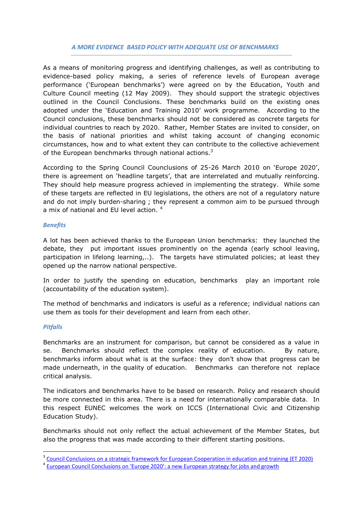# *A MORE EVIDENCE BASED POLICY WITH ADEQUATE USE OF BENCHMARKS*

As a means of monitoring progress and identifying challenges, as well as contributing to evidence-based policy making, a series of reference levels of European average performance ('European benchmarks') were agreed on by the Education, Youth and Culture Council meeting (12 May 2009). They should support the strategic objectives outlined in the Council Conclusions. These benchmarks build on the existing ones adopted under the 'Education and Training 2010' work programme. According to the Council conclusions, these benchmarks should not be considered as concrete targets for individual countries to reach by 2020. Rather, Member States are invited to consider, on the basis of national priorities and whilst taking account of changing economic circumstances, how and to what extent they can contribute to the collective achievement of the European benchmarks through national actions.<sup>3</sup>

According to the Spring Council Counclusions of 25-26 March 2010 on 'Europe 2020', there is agreement on 'headline targets', that are interrelated and mutually reinforcing. They should help measure progress achieved in implementing the strategy. While some of these targets are reflected in EU legislations, the others are not of a regulatory nature and do not imply burden-sharing ; they represent a common aim to be pursued through a mix of national and EU level action.<sup>4</sup>

# *Benefits*

A lot has been achieved thanks to the European Union benchmarks: they launched the debate, they put important issues prominently on the agenda (early school leaving, participation in lifelong learning,..). The targets have stimulated policies; at least they opened up the narrow national perspective.

In order to justify the spending on education, benchmarks play an important role (accountability of the education system).

The method of benchmarks and indicators is useful as a reference; individual nations can use them as tools for their development and learn from each other.

#### *Pitfalls*

1

Benchmarks are an instrument for comparison, but cannot be considered as a value in se. Benchmarks should reflect the complex reality of education. By nature, benchmarks inform about what is at the surface: they don't show that progress can be made underneath, in the quality of education. Benchmarks can therefore not replace critical analysis.

The indicators and benchmarks have to be based on research. Policy and research should be more connected in this area. There is a need for internationally comparable data. In this respect EUNEC welcomes the work on ICCS (International Civic and Citizenship Education Study).

Benchmarks should not only reflect the actual achievement of the Member States, but also the progress that was made according to their different starting positions.

<sup>&</sup>lt;sup>3</sup> [Council Conclusions on a strategic framework for European Cooperation in education and training \(ET 2020\)](http://www.consilium.europa.eu/uedocs/cms_data/docs/pressdata/en/educ/107622.pdf)

<sup>&</sup>lt;sup>4</sup> [European Council Conclusions on 'Europe 2020': a new European strategy for jobs and growth](http://www.consilium.europa.eu/uedocs/cms_Data/docs/pressdata/en/ec/113591.pdf)